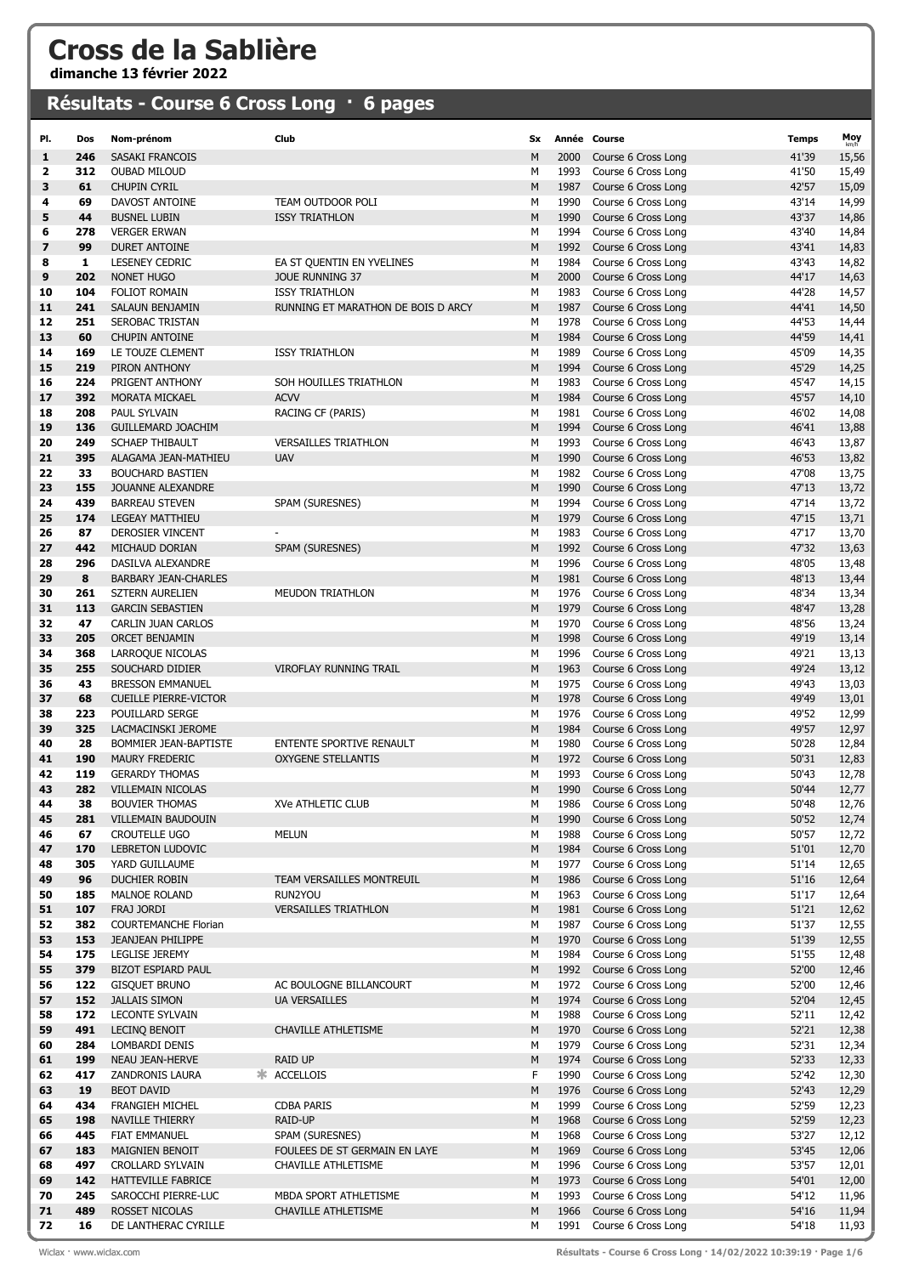## Cross de la Sablière

dimanche 13 février 2022

## Résultats - Course 6 Cross Long · 6 pages

| PI.      | Dos        | Nom-prénom                                       | Club                                                        | <b>Sx</b> |              | Année Course                                         | <b>Temps</b>   | Moy            |
|----------|------------|--------------------------------------------------|-------------------------------------------------------------|-----------|--------------|------------------------------------------------------|----------------|----------------|
| 1        | 246        | SASAKI FRANCOIS                                  |                                                             | M         | 2000         | Course 6 Cross Long                                  | 41'39          | 15,56          |
| 2        | 312        | <b>OUBAD MILOUD</b>                              |                                                             | М         | 1993         | Course 6 Cross Long                                  | 41'50          | 15,49          |
| 3        | 61         | <b>CHUPIN CYRIL</b>                              |                                                             | M         | 1987         | Course 6 Cross Long                                  | 42'57          | 15,09          |
| 4        | 69         | DAVOST ANTOINE                                   | TEAM OUTDOOR POLI                                           | M         | 1990         | Course 6 Cross Long                                  | 43'14          | 14,99          |
| 5        | 44         | <b>BUSNEL LUBIN</b>                              | <b>ISSY TRIATHLON</b>                                       | M         | 1990         | Course 6 Cross Long                                  | 43'37          | 14,86          |
| 6        | 278        | <b>VERGER ERWAN</b>                              |                                                             | M         | 1994         | Course 6 Cross Long                                  | 43'40          | 14,84          |
| 7        | 99         | <b>DURET ANTOINE</b>                             |                                                             | M         | 1992         | Course 6 Cross Long                                  | 43'41          | 14,83          |
| 8        | 1          | <b>LESENEY CEDRIC</b>                            | EA ST QUENTIN EN YVELINES                                   | М         | 1984         | Course 6 Cross Long                                  | 43'43          | 14,82          |
| 9        | 202<br>104 | NONET HUGO                                       | <b>JOUE RUNNING 37</b>                                      | M<br>M    | 2000         | Course 6 Cross Long                                  | 44'17          | 14,63          |
| 10<br>11 | 241        | FOLIOT ROMAIN<br>SALAUN BENJAMIN                 | <b>ISSY TRIATHLON</b><br>RUNNING ET MARATHON DE BOIS D ARCY | M         | 1983<br>1987 | Course 6 Cross Long<br>Course 6 Cross Long           | 44'28<br>44'41 | 14,57<br>14,50 |
| 12       | 251        | <b>SEROBAC TRISTAN</b>                           |                                                             | М         | 1978         | Course 6 Cross Long                                  | 44'53          | 14,44          |
| 13       | 60         | <b>CHUPIN ANTOINE</b>                            |                                                             | M         | 1984         | Course 6 Cross Long                                  | 44'59          | 14,41          |
| 14       | 169        | LE TOUZE CLEMENT                                 | <b>ISSY TRIATHLON</b>                                       | м         | 1989         | Course 6 Cross Long                                  | 45'09          | 14,35          |
| 15       | 219        | PIRON ANTHONY                                    |                                                             | M         | 1994         | Course 6 Cross Long                                  | 45'29          | 14,25          |
| 16       | 224        | PRIGENT ANTHONY                                  | SOH HOUILLES TRIATHLON                                      | M         | 1983         | Course 6 Cross Long                                  | 45'47          | 14,15          |
| 17       | 392        | <b>MORATA MICKAEL</b>                            | <b>ACVV</b>                                                 | M         | 1984         | Course 6 Cross Long                                  | 45'57          | 14,10          |
| 18       | 208        | PAUL SYLVAIN                                     | RACING CF (PARIS)                                           | М         | 1981         | Course 6 Cross Long                                  | 46'02          | 14,08          |
| 19       | 136        | <b>GUILLEMARD JOACHIM</b>                        |                                                             | M         | 1994         | Course 6 Cross Long                                  | 46'41          | 13,88          |
| 20       | 249        | <b>SCHAEP THIBAULT</b>                           | <b>VERSAILLES TRIATHLON</b>                                 | М         | 1993         | Course 6 Cross Long                                  | 46'43          | 13,87          |
| 21       | 395        | ALAGAMA JEAN-MATHIEU                             | <b>UAV</b>                                                  | M         | 1990         | Course 6 Cross Long                                  | 46'53          | 13,82          |
| 22       | 33         | <b>BOUCHARD BASTIEN</b>                          |                                                             | М         | 1982         | Course 6 Cross Long                                  | 47'08          | 13,75          |
| 23       | 155        | <b>JOUANNE ALEXANDRE</b>                         |                                                             | M         | 1990         | Course 6 Cross Long                                  | 47'13          | 13,72          |
| 24       | 439        | <b>BARREAU STEVEN</b>                            | SPAM (SURESNES)                                             | M         | 1994         | Course 6 Cross Long                                  | 47'14          | 13,72          |
| 25       | 174        | <b>LEGEAY MATTHIEU</b>                           |                                                             | M         | 1979         | Course 6 Cross Long                                  | 47'15          | 13,71          |
| 26       | 87         | DEROSIER VINCENT                                 |                                                             | М         | 1983         | Course 6 Cross Long                                  | 47'17          | 13,70          |
| 27       | 442<br>296 | MICHAUD DORIAN                                   | SPAM (SURESNES)                                             | M         | 1992<br>1996 | Course 6 Cross Long                                  | 47'32          | 13,63          |
| 28<br>29 | 8          | DASILVA ALEXANDRE<br><b>BARBARY JEAN-CHARLES</b> |                                                             | М<br>M    | 1981         | Course 6 Cross Long<br>Course 6 Cross Long           | 48'05<br>48'13 | 13,48<br>13,44 |
| 30       | 261        | <b>SZTERN AURELIEN</b>                           | <b>MEUDON TRIATHLON</b>                                     | M         | 1976         | Course 6 Cross Long                                  | 48'34          | 13,34          |
| 31       | 113        | <b>GARCIN SEBASTIEN</b>                          |                                                             | M         | 1979         | Course 6 Cross Long                                  | 48'47          | 13,28          |
| 32       | 47         | CARLIN JUAN CARLOS                               |                                                             | М         | 1970         | Course 6 Cross Long                                  | 48'56          | 13,24          |
| 33       | 205        | <b>ORCET BENJAMIN</b>                            |                                                             | M         | 1998         | Course 6 Cross Long                                  | 49'19          | 13,14          |
| 34       | 368        | LARROQUE NICOLAS                                 |                                                             | М         | 1996         | Course 6 Cross Long                                  | 49'21          | 13,13          |
| 35       | 255        | SOUCHARD DIDIER                                  | <b>VIROFLAY RUNNING TRAIL</b>                               | M         | 1963         | Course 6 Cross Long                                  | 49'24          | 13,12          |
| 36       | 43         | <b>BRESSON EMMANUEL</b>                          |                                                             | M         | 1975         | Course 6 Cross Long                                  | 49'43          | 13,03          |
| 37       | 68         | <b>CUEILLE PIERRE-VICTOR</b>                     |                                                             | M         | 1978         | Course 6 Cross Long                                  | 49'49          | 13,01          |
| 38       | 223        | POUILLARD SERGE                                  |                                                             | м         | 1976         | Course 6 Cross Long                                  | 49'52          | 12,99          |
| 39       | 325        | LACMACINSKI JEROME                               |                                                             | M         | 1984         | Course 6 Cross Long                                  | 49'57          | 12,97          |
| 40       | 28         | BOMMIER JEAN-BAPTISTE                            | ENTENTE SPORTIVE RENAULT                                    | М         | 1980         | Course 6 Cross Long                                  | 50'28          | 12,84          |
| 41       | 190        | <b>MAURY FREDERIC</b>                            | <b>OXYGENE STELLANTIS</b>                                   | M         | 1972         | Course 6 Cross Long                                  | 50'31          | 12,83          |
| 42       | 119        | <b>GERARDY THOMAS</b>                            |                                                             | м         | 1993         | Course 6 Cross Long                                  | 50'43          | 12,78          |
| 43<br>44 | 282<br>38  | VILLEMAIN NICOLAS<br><b>BOUVIER THOMAS</b>       |                                                             | M         |              | 1990 Course 6 Cross Long<br>1986 Course 6 Cross Long | 50'44          | 12,77          |
| 45       | 281        | VILLEMAIN BAUDOUIN                               | XVe ATHLETIC CLUB                                           | М<br>M    | 1990         | Course 6 Cross Long                                  | 50'48<br>50'52 | 12,76<br>12,74 |
| 46       | 67         | CROUTELLE UGO                                    | <b>MELUN</b>                                                | м         | 1988         | Course 6 Cross Long                                  | 50'57          | 12,72          |
| 47       | 170        | <b>LEBRETON LUDOVIC</b>                          |                                                             | М         | 1984         | Course 6 Cross Long                                  | 51'01          | 12,70          |
| 48       | 305        | YARD GUILLAUME                                   |                                                             | М         | 1977         | Course 6 Cross Long                                  | 51'14          | 12,65          |
| 49       | 96         | DUCHIER ROBIN                                    | TEAM VERSAILLES MONTREUIL                                   | М         | 1986         | Course 6 Cross Long                                  | 51'16          | 12,64          |
| 50       | 185        | MALNOE ROLAND                                    | RUN2YOU                                                     | М         | 1963         | Course 6 Cross Long                                  | 51'17          | 12,64          |
| 51       | 107        | FRAJ JORDI                                       | <b>VERSAILLES TRIATHLON</b>                                 | M         | 1981         | Course 6 Cross Long                                  | 51'21          | 12,62          |
| 52       | 382        | <b>COURTEMANCHE Florian</b>                      |                                                             | М         | 1987         | Course 6 Cross Long                                  | 51'37          | 12,55          |
| 53       | 153        | JEANJEAN PHILIPPE                                |                                                             | М         | 1970         | Course 6 Cross Long                                  | 51'39          | 12,55          |
| 54       | 175        | <b>LEGLISE JEREMY</b>                            |                                                             | М         | 1984         | Course 6 Cross Long                                  | 51'55          | 12,48          |
| 55       | 379        | <b>BIZOT ESPIARD PAUL</b>                        |                                                             | М         |              | 1992 Course 6 Cross Long                             | 52'00          | 12,46          |
| 56       | 122        | <b>GISQUET BRUNO</b><br><b>JALLAIS SIMON</b>     | AC BOULOGNE BILLANCOURT                                     | М         | 1972         | Course 6 Cross Long                                  | 52'00          | 12,46          |
| 57<br>58 | 152<br>172 | <b>LECONTE SYLVAIN</b>                           | <b>UA VERSAILLES</b>                                        | М<br>М    | 1974<br>1988 | Course 6 Cross Long<br>Course 6 Cross Long           | 52'04<br>52'11 | 12,45<br>12,42 |
| 59       | 491        | LECINQ BENOIT                                    | CHAVILLE ATHLETISME                                         | М         | 1970         | Course 6 Cross Long                                  | 52'21          | 12,38          |
| 60       | 284        | LOMBARDI DENIS                                   |                                                             | М         | 1979         | Course 6 Cross Long                                  | 52'31          | 12,34          |
| 61       | 199        | <b>NEAU JEAN-HERVE</b>                           | <b>RAID UP</b>                                              | М         | 1974         | Course 6 Cross Long                                  | 52'33          | 12,33          |
| 62       | 417        | ZANDRONIS LAURA                                  | * ACCELLOIS                                                 | F         | 1990         | Course 6 Cross Long                                  | 52'42          | 12,30          |
| 63       | 19         | <b>BEOT DAVID</b>                                |                                                             | м         | 1976         | Course 6 Cross Long                                  | 52'43          | 12,29          |
| 64       | 434        | FRANGIEH MICHEL                                  | <b>CDBA PARIS</b>                                           | М         | 1999         | Course 6 Cross Long                                  | 52'59          | 12,23          |
| 65       | 198        | <b>NAVILLE THIERRY</b>                           | RAID-UP                                                     | М         | 1968         | Course 6 Cross Long                                  | 52'59          | 12,23          |
| 66       | 445        | FIAT EMMANUEL                                    | SPAM (SURESNES)                                             | М         | 1968         | Course 6 Cross Long                                  | 53'27          | 12,12          |
| 67       | 183        | MAIGNIEN BENOIT                                  | FOULEES DE ST GERMAIN EN LAYE                               | М         | 1969         | Course 6 Cross Long                                  | 53'45          | 12,06          |
| 68       | 497        | CROLLARD SYLVAIN                                 | CHAVILLE ATHLETISME                                         | М         | 1996         | Course 6 Cross Long                                  | 53'57          | 12,01          |
| 69       | 142        | HATTEVILLE FABRICE                               |                                                             | М         | 1973         | Course 6 Cross Long                                  | 54'01          | 12,00          |
| 70       | 245        | SAROCCHI PIERRE-LUC                              | MBDA SPORT ATHLETISME                                       | М         | 1993         | Course 6 Cross Long                                  | 54'12          | 11,96          |
| 71       | 489        | ROSSET NICOLAS                                   | CHAVILLE ATHLETISME                                         | М         | 1966         | Course 6 Cross Long                                  | 54'16          | 11,94          |
| 72       | 16         | DE LANTHERAC CYRILLE                             |                                                             | М         | 1991         | Course 6 Cross Long                                  | 54'18          | 11,93          |

Wiclax · www.wiclax.com **Résultats - Course 6 Cross Long · 14/02/2022 10:39:19 · Page 1/6**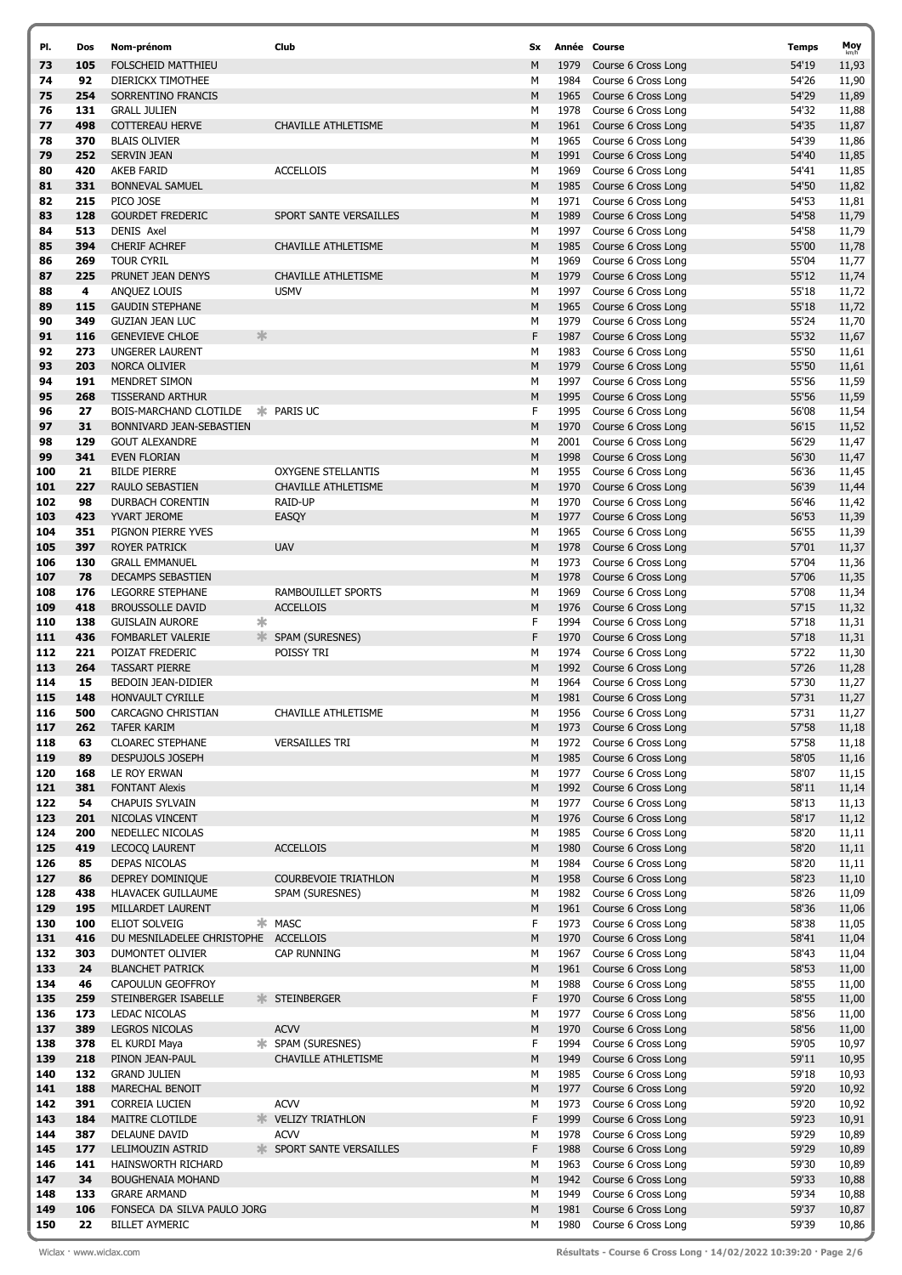| PI. | Dos | Nom-prénom                           | Club                            | Sx |      | Année Course        | <b>Temps</b> | Moy   |
|-----|-----|--------------------------------------|---------------------------------|----|------|---------------------|--------------|-------|
| 73  | 105 | <b>FOLSCHEID MATTHIEU</b>            |                                 | M  | 1979 | Course 6 Cross Long | 54'19        | 11,93 |
| 74  | 92  | DIERICKX TIMOTHEE                    |                                 | М  | 1984 | Course 6 Cross Long | 54'26        | 11,90 |
| 75  | 254 | SORRENTINO FRANCIS                   |                                 | M  | 1965 | Course 6 Cross Long | 54'29        | 11,89 |
| 76  |     |                                      |                                 |    | 1978 |                     | 54'32        |       |
|     | 131 | <b>GRALL JULIEN</b>                  |                                 | М  |      | Course 6 Cross Long |              | 11,88 |
| 77  | 498 | <b>COTTEREAU HERVE</b>               | <b>CHAVILLE ATHLETISME</b>      | M  | 1961 | Course 6 Cross Long | 54'35        | 11,87 |
| 78  | 370 | <b>BLAIS OLIVIER</b>                 |                                 | М  | 1965 | Course 6 Cross Long | 54'39        | 11,86 |
| 79  | 252 | SERVIN JEAN                          |                                 | M  | 1991 | Course 6 Cross Long | 54'40        | 11,85 |
| 80  | 420 | <b>AKEB FARID</b>                    | <b>ACCELLOIS</b>                | М  | 1969 | Course 6 Cross Long | 54'41        | 11,85 |
| 81  | 331 | <b>BONNEVAL SAMUEL</b>               |                                 | M  | 1985 | Course 6 Cross Long | 54'50        | 11,82 |
| 82  | 215 | PICO JOSE                            |                                 | М  | 1971 | Course 6 Cross Long | 54'53        | 11,81 |
| 83  | 128 | <b>GOURDET FREDERIC</b>              | SPORT SANTE VERSAILLES          | M  | 1989 | Course 6 Cross Long | 54'58        | 11,79 |
| 84  | 513 | DENIS Axel                           |                                 | М  | 1997 | Course 6 Cross Long | 54'58        | 11,79 |
| 85  | 394 | <b>CHERIF ACHREF</b>                 | <b>CHAVILLE ATHLETISME</b>      | M  | 1985 | Course 6 Cross Long | 55'00        | 11,78 |
| 86  | 269 | <b>TOUR CYRIL</b>                    |                                 | М  | 1969 | Course 6 Cross Long | 55'04        | 11,77 |
|     |     |                                      |                                 |    |      |                     |              |       |
| 87  | 225 | PRUNET JEAN DENYS                    | CHAVILLE ATHLETISME             | M  | 1979 | Course 6 Cross Long | 55'12        | 11,74 |
| 88  | 4   | ANQUEZ LOUIS                         | <b>USMV</b>                     | М  | 1997 | Course 6 Cross Long | 55'18        | 11,72 |
| 89  | 115 | <b>GAUDIN STEPHANE</b>               |                                 | M  | 1965 | Course 6 Cross Long | 55'18        | 11,72 |
| 90  | 349 | <b>GUZIAN JEAN LUC</b>               |                                 | M  | 1979 | Course 6 Cross Long | 55'24        | 11,70 |
| 91  | 116 | 氺<br><b>GENEVIEVE CHLOE</b>          |                                 | F  | 1987 | Course 6 Cross Long | 55'32        | 11,67 |
| 92  | 273 | <b>UNGERER LAURENT</b>               |                                 | М  | 1983 | Course 6 Cross Long | 55'50        | 11,61 |
| 93  | 203 | NORCA OLIVIER                        |                                 | M  | 1979 | Course 6 Cross Long | 55'50        | 11,61 |
| 94  | 191 | MENDRET SIMON                        |                                 | М  | 1997 | Course 6 Cross Long | 55'56        | 11,59 |
| 95  | 268 | <b>TISSERAND ARTHUR</b>              |                                 | M  | 1995 | Course 6 Cross Long | 55'56        | 11,59 |
| 96  | 27  | BOIS-MARCHAND CLOTILDE               | * PARIS UC                      | F  | 1995 | Course 6 Cross Long | 56'08        | 11,54 |
|     |     |                                      |                                 |    |      |                     |              |       |
| 97  | 31  | <b>BONNIVARD JEAN-SEBASTIEN</b>      |                                 | M  | 1970 | Course 6 Cross Long | 56'15        | 11,52 |
| 98  | 129 | <b>GOUT ALEXANDRE</b>                |                                 | М  | 2001 | Course 6 Cross Long | 56'29        | 11,47 |
| 99  | 341 | <b>EVEN FLORIAN</b>                  |                                 | M  | 1998 | Course 6 Cross Long | 56'30        | 11,47 |
| 100 | 21  | <b>BILDE PIERRE</b>                  | <b>OXYGENE STELLANTIS</b>       | М  | 1955 | Course 6 Cross Long | 56'36        | 11,45 |
| 101 | 227 | RAULO SEBASTIEN                      | <b>CHAVILLE ATHLETISME</b>      | M  | 1970 | Course 6 Cross Long | 56'39        | 11,44 |
| 102 | 98  | <b>DURBACH CORENTIN</b>              | RAID-UP                         | M  | 1970 | Course 6 Cross Long | 56'46        | 11,42 |
| 103 | 423 | YVART JEROME                         | EASQY                           | M  | 1977 | Course 6 Cross Long | 56'53        | 11,39 |
| 104 | 351 | PIGNON PIERRE YVES                   |                                 | М  | 1965 | Course 6 Cross Long | 56'55        | 11,39 |
| 105 | 397 | <b>ROYER PATRICK</b>                 | <b>UAV</b>                      | M  | 1978 | Course 6 Cross Long | 57'01        | 11,37 |
| 106 | 130 | <b>GRALL EMMANUEL</b>                |                                 | М  | 1973 | Course 6 Cross Long | 57'04        | 11,36 |
| 107 | 78  | <b>DECAMPS SEBASTIEN</b>             |                                 | M  | 1978 | Course 6 Cross Long | 57'06        | 11,35 |
| 108 | 176 | LEGORRE STEPHANE                     | <b>RAMBOUILLET SPORTS</b>       | М  | 1969 |                     | 57'08        |       |
|     |     |                                      |                                 |    |      | Course 6 Cross Long |              | 11,34 |
| 109 | 418 | <b>BROUSSOLLE DAVID</b>              | <b>ACCELLOIS</b>                | M  | 1976 | Course 6 Cross Long | 57'15        | 11,32 |
| 110 | 138 | 氺<br><b>GUISLAIN AURORE</b>          |                                 | F  | 1994 | Course 6 Cross Long | 57'18        | 11,31 |
| 111 | 436 | ≯াং<br><b>FOMBARLET VALERIE</b>      | SPAM (SURESNES)                 | F  | 1970 | Course 6 Cross Long | 57'18        | 11,31 |
| 112 | 221 | POIZAT FREDERIC                      | POISSY TRI                      | М  | 1974 | Course 6 Cross Long | 57'22        | 11,30 |
| 113 | 264 | <b>TASSART PIERRE</b>                |                                 | M  | 1992 | Course 6 Cross Long | 57'26        | 11,28 |
| 114 | 15  | BEDOIN JEAN-DIDIER                   |                                 | М  | 1964 | Course 6 Cross Long | 57'30        | 11,27 |
| 115 | 148 | HONVAULT CYRILLE                     |                                 | M  | 1981 | Course 6 Cross Long | 57'31        | 11,27 |
| 116 | 500 | CARCAGNO CHRISTIAN                   | CHAVILLE ATHLETISME             | M  | 1956 | Course 6 Cross Long | 57'31        | 11,27 |
| 117 | 262 | TAFER KARIM                          |                                 | М  | 1973 | Course 6 Cross Long | 57'58        | 11,18 |
| 118 | 63  | <b>CLOAREC STEPHANE</b>              | <b>VERSAILLES TRI</b>           | М  | 1972 | Course 6 Cross Long | 57'58        | 11,18 |
| 119 | 89  | DESPUJOLS JOSEPH                     |                                 | M  | 1985 | Course 6 Cross Long | 58'05        | 11,16 |
|     |     |                                      |                                 |    |      |                     |              |       |
| 120 | 168 | LE ROY ERWAN                         |                                 | М  | 1977 | Course 6 Cross Long | 58'07        | 11,15 |
| 121 | 381 | <b>FONTANT Alexis</b>                |                                 | M  | 1992 | Course 6 Cross Long | 58'11        | 11,14 |
| 122 | 54  | <b>CHAPUIS SYLVAIN</b>               |                                 | М  | 1977 | Course 6 Cross Long | 58'13        | 11,13 |
| 123 | 201 | NICOLAS VINCENT                      |                                 | М  | 1976 | Course 6 Cross Long | 58'17        | 11,12 |
| 124 | 200 | NEDELLEC NICOLAS                     |                                 | М  | 1985 | Course 6 Cross Long | 58'20        | 11,11 |
| 125 | 419 | <b>LECOCO LAURENT</b>                | <b>ACCELLOIS</b>                | M  | 1980 | Course 6 Cross Long | 58'20        | 11,11 |
| 126 | 85  | DEPAS NICOLAS                        |                                 | М  | 1984 | Course 6 Cross Long | 58'20        | 11,11 |
| 127 | 86  | DEPREY DOMINIQUE                     | <b>COURBEVOIE TRIATHLON</b>     | M  | 1958 | Course 6 Cross Long | 58'23        | 11,10 |
| 128 | 438 | HLAVACEK GUILLAUME                   | SPAM (SURESNES)                 | М  | 1982 | Course 6 Cross Long | 58'26        | 11,09 |
| 129 | 195 | MILLARDET LAURENT                    |                                 | М  | 1961 | Course 6 Cross Long | 58'36        | 11,06 |
| 130 | 100 | ELIOT SOLVEIG                        | * MASC                          | F  | 1973 | Course 6 Cross Long | 58'38        | 11,05 |
| 131 | 416 | DU MESNILADELEE CHRISTOPHE ACCELLOIS |                                 | M  | 1970 | Course 6 Cross Long | 58'41        | 11,04 |
| 132 | 303 | DUMONTET OLIVIER                     | CAP RUNNING                     | М  | 1967 | Course 6 Cross Long | 58'43        |       |
|     |     |                                      |                                 |    |      |                     |              | 11,04 |
| 133 | 24  | <b>BLANCHET PATRICK</b>              |                                 | M  | 1961 | Course 6 Cross Long | 58'53        | 11,00 |
| 134 | 46  | CAPOULUN GEOFFROY                    |                                 | М  | 1988 | Course 6 Cross Long | 58'55        | 11,00 |
| 135 | 259 | STEINBERGER ISABELLE                 | <b>* STEINBERGER</b>            | F  | 1970 | Course 6 Cross Long | 58'55        | 11,00 |
| 136 | 173 | LEDAC NICOLAS                        |                                 | М  | 1977 | Course 6 Cross Long | 58'56        | 11,00 |
| 137 | 389 | <b>LEGROS NICOLAS</b>                | <b>ACVV</b>                     | M  | 1970 | Course 6 Cross Long | 58'56        | 11,00 |
| 138 | 378 | EL KURDI Maya                        | * SPAM (SURESNES)               | F  | 1994 | Course 6 Cross Long | 59'05        | 10,97 |
| 139 | 218 | PINON JEAN-PAUL                      | CHAVILLE ATHLETISME             | M  | 1949 | Course 6 Cross Long | 59'11        | 10,95 |
| 140 | 132 | <b>GRAND JULIEN</b>                  |                                 | М  | 1985 | Course 6 Cross Long | 59'18        | 10,93 |
| 141 | 188 | MARECHAL BENOIT                      |                                 | M  | 1977 | Course 6 Cross Long | 59'20        | 10,92 |
| 142 | 391 | CORREIA LUCIEN                       | <b>ACVV</b>                     | м  | 1973 | Course 6 Cross Long | 59'20        | 10,92 |
| 143 | 184 | MAITRE CLOTILDE                      | <b>WELIZY TRIATHLON</b>         | F  | 1999 | Course 6 Cross Long | 59'23        | 10,91 |
| 144 | 387 | DELAUNE DAVID                        | <b>ACVV</b>                     | М  | 1978 | Course 6 Cross Long | 59'29        | 10,89 |
| 145 | 177 | LELIMOUZIN ASTRID                    | <b>* SPORT SANTE VERSAILLES</b> | F  | 1988 | Course 6 Cross Long |              | 10,89 |
|     |     |                                      |                                 |    |      |                     | 59'29        |       |
| 146 | 141 | HAINSWORTH RICHARD                   |                                 | М  | 1963 | Course 6 Cross Long | 59'30        | 10,89 |
| 147 | 34  | <b>BOUGHENAIA MOHAND</b>             |                                 | M  | 1942 | Course 6 Cross Long | 59'33        | 10,88 |
| 148 | 133 | <b>GRARE ARMAND</b>                  |                                 | м  | 1949 | Course 6 Cross Long | 59'34        | 10,88 |
| 149 | 106 | FONSECA DA SILVA PAULO JORG          |                                 | M  | 1981 | Course 6 Cross Long | 59'37        | 10,87 |
| 150 | 22  | <b>BILLET AYMERIC</b>                |                                 | М  | 1980 | Course 6 Cross Long | 59'39        | 10,86 |

Wiclax · www.wiclax.com **Cause 2008 Résultats - Course 6 Cross Long · 14/02/2022 10:39:20 · Page 2/6**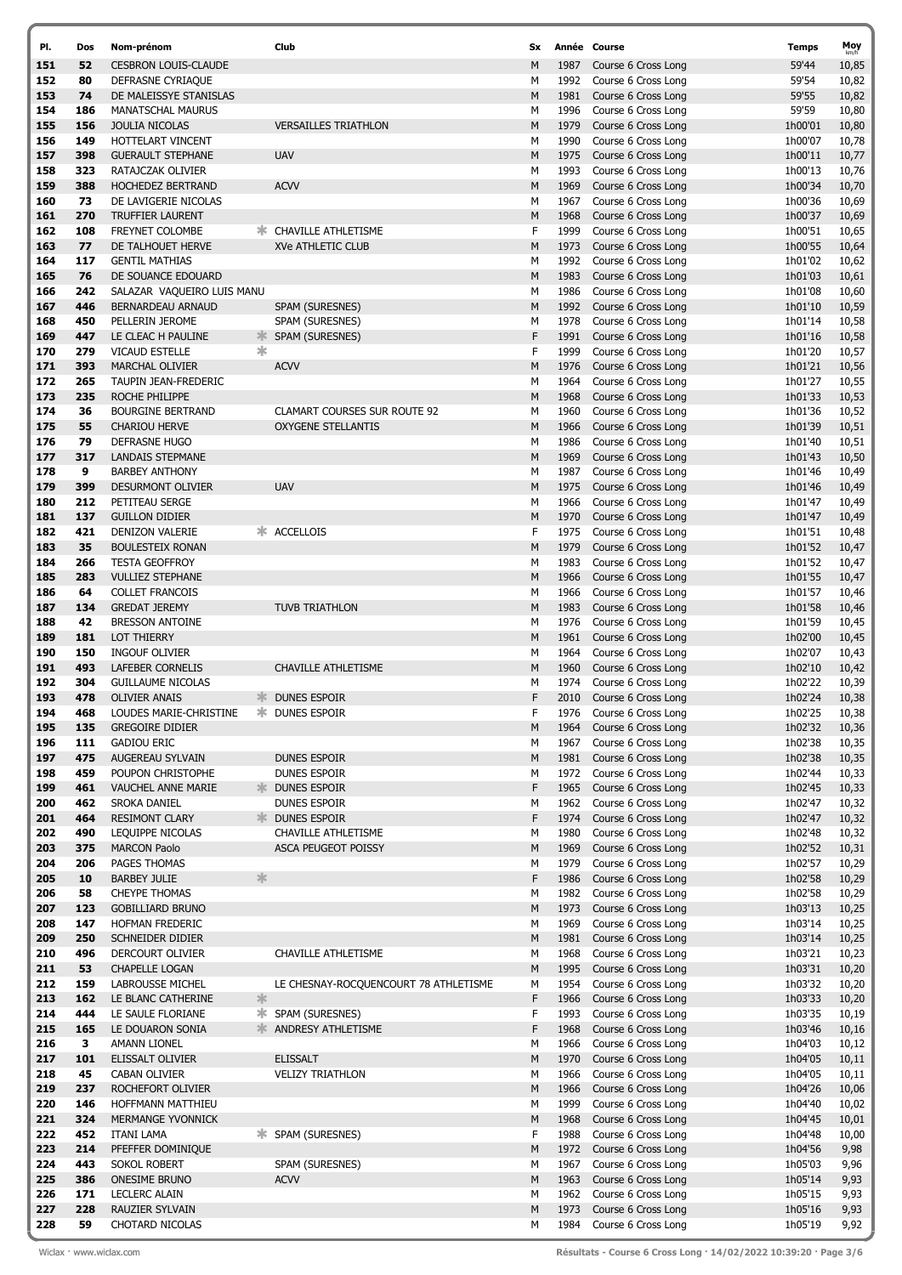| PI.        | Dos        | Nom-prénom                                              | Club                                  | <b>Sx</b> |              | Année Course                               | Temps              | Moy            |
|------------|------------|---------------------------------------------------------|---------------------------------------|-----------|--------------|--------------------------------------------|--------------------|----------------|
| 151        | 52         | <b>CESBRON LOUIS-CLAUDE</b>                             |                                       | M         | 1987         | Course 6 Cross Long                        | 59'44              | 10,85          |
| 152        | 80         | DEFRASNE CYRIAQUE                                       |                                       | М         | 1992         | Course 6 Cross Long                        | 59'54              | 10,82          |
| 153        | 74         | DE MALEISSYE STANISLAS                                  |                                       | M         | 1981         | Course 6 Cross Long                        | 59'55              | 10,82          |
| 154        | 186        | <b>MANATSCHAL MAURUS</b>                                |                                       | М         | 1996         | Course 6 Cross Long                        | 59'59              | 10,80          |
| 155        | 156        | <b>JOULIA NICOLAS</b>                                   | <b>VERSAILLES TRIATHLON</b>           | M         | 1979         | Course 6 Cross Long                        | 1h00'01            | 10,80          |
| 156        | 149        | HOTTELART VINCENT                                       |                                       | М         | 1990         | Course 6 Cross Long                        | 1h00'07            | 10,78          |
| 157        | 398        | <b>GUERAULT STEPHANE</b>                                | <b>UAV</b>                            | M         | 1975         | Course 6 Cross Long                        | 1h00'11            | 10,77          |
| 158        | 323        | RATAJCZAK OLIVIER                                       |                                       | М         | 1993         | Course 6 Cross Long                        | 1h00'13            | 10,76          |
| 159        | 388        | HOCHEDEZ BERTRAND                                       | <b>ACVV</b>                           | M         | 1969         | Course 6 Cross Long                        | 1h00'34            | 10,70          |
| 160        | 73         | DE LAVIGERIE NICOLAS                                    |                                       | М         | 1967         | Course 6 Cross Long                        | 1h00'36            | 10,69          |
| 161        | 270        | <b>TRUFFIER LAURENT</b>                                 |                                       | M         | 1968         | Course 6 Cross Long                        | 1h00'37            | 10,69          |
| 162<br>163 | 108<br>77  | <b>FREYNET COLOMBE</b>                                  | <b>* CHAVILLE ATHLETISME</b>          | F<br>M    | 1999<br>1973 | Course 6 Cross Long                        | 1h00'51            | 10,65          |
| 164        | 117        | DE TALHOUET HERVE<br><b>GENTIL MATHIAS</b>              | XVe ATHLETIC CLUB                     | М         | 1992         | Course 6 Cross Long<br>Course 6 Cross Long | 1h00'55<br>1h01'02 | 10,64          |
| 165        | 76         | DE SOUANCE EDOUARD                                      |                                       | M         | 1983         | Course 6 Cross Long                        | 1h01'03            | 10,62<br>10,61 |
| 166        | 242        | SALAZAR VAQUEIRO LUIS MANU                              |                                       | М         | 1986         | Course 6 Cross Long                        | 1h01'08            | 10,60          |
| 167        | 446        | BERNARDEAU ARNAUD                                       | SPAM (SURESNES)                       | M         | 1992         | Course 6 Cross Long                        | 1h01'10            | 10,59          |
| 168        | 450        | PELLERIN JEROME                                         | SPAM (SURESNES)                       | М         | 1978         | Course 6 Cross Long                        | 1h01'14            | 10,58          |
| 169        | 447        | LE CLEAC H PAULINE<br>≭                                 | SPAM (SURESNES)                       | F         | 1991         | Course 6 Cross Long                        | 1h01'16            | 10,58          |
| 170        | 279        | ж<br><b>VICAUD ESTELLE</b>                              |                                       | F         | 1999         | Course 6 Cross Long                        | 1h01'20            | 10,57          |
| 171        | 393        | <b>MARCHAL OLIVIER</b>                                  | <b>ACVV</b>                           | M         | 1976         | Course 6 Cross Long                        | 1h01'21            | 10,56          |
| 172        | 265        | TAUPIN JEAN-FREDERIC                                    |                                       | М         | 1964         | Course 6 Cross Long                        | 1h01'27            | 10,55          |
| 173        | 235        | ROCHE PHILIPPE                                          |                                       | M         | 1968         | Course 6 Cross Long                        | 1h01'33            | 10,53          |
| 174        | 36         | <b>BOURGINE BERTRAND</b>                                | <b>CLAMART COURSES SUR ROUTE 92</b>   | М         | 1960         | Course 6 Cross Long                        | 1h01'36            | 10,52          |
| 175        | 55         | <b>CHARIOU HERVE</b>                                    | <b>OXYGENE STELLANTIS</b>             | M         | 1966         | Course 6 Cross Long                        | 1h01'39            | 10,51          |
| 176        | 79         | <b>DEFRASNE HUGO</b>                                    |                                       | М         | 1986         | Course 6 Cross Long                        | 1h01'40            | 10,51          |
| 177        | 317        | LANDAIS STEPMANE                                        |                                       | M         | 1969         | Course 6 Cross Long                        | 1h01'43            | 10,50          |
| 178        | 9          | <b>BARBEY ANTHONY</b>                                   |                                       | М         | 1987         | Course 6 Cross Long                        | 1h01'46            | 10,49          |
| 179        | 399        | <b>DESURMONT OLIVIER</b>                                | <b>UAV</b>                            | M         | 1975         | Course 6 Cross Long                        | 1h01'46            | 10,49          |
| 180        | 212        | PETITEAU SERGE                                          |                                       | М         | 1966         | Course 6 Cross Long                        | 1h01'47            | 10,49          |
| 181<br>182 | 137<br>421 | <b>GUILLON DIDIER</b><br>DENIZON VALERIE                | * ACCELLOIS                           | M<br>F    | 1970<br>1975 | Course 6 Cross Long<br>Course 6 Cross Long | 1h01'47<br>1h01'51 | 10,49          |
| 183        | 35         | <b>BOULESTEIX RONAN</b>                                 |                                       | M         | 1979         | Course 6 Cross Long                        | 1h01'52            | 10,48<br>10,47 |
| 184        | 266        | <b>TESTA GEOFFROY</b>                                   |                                       | М         | 1983         | Course 6 Cross Long                        | 1h01'52            | 10,47          |
| 185        | 283        | <b>VULLIEZ STEPHANE</b>                                 |                                       | M         | 1966         | Course 6 Cross Long                        | 1h01'55            | 10,47          |
| 186        | 64         | <b>COLLET FRANCOIS</b>                                  |                                       | М         | 1966         | Course 6 Cross Long                        | 1h01'57            | 10,46          |
| 187        | 134        | <b>GREDAT JEREMY</b>                                    | <b>TUVB TRIATHLON</b>                 | M         | 1983         | Course 6 Cross Long                        | 1h01'58            | 10,46          |
| 188        | 42         | <b>BRESSON ANTOINE</b>                                  |                                       | М         | 1976         | Course 6 Cross Long                        | 1h01'59            | 10,45          |
| 189        | 181        | <b>LOT THIERRY</b>                                      |                                       | M         | 1961         | Course 6 Cross Long                        | 1h02'00            | 10,45          |
| 190        | 150        | <b>INGOUF OLIVIER</b>                                   |                                       | М         | 1964         | Course 6 Cross Long                        | 1h02'07            | 10,43          |
| 191        | 493        | LAFEBER CORNELIS                                        | CHAVILLE ATHLETISME                   | M         | 1960         | Course 6 Cross Long                        | 1h02'10            | 10,42          |
| 192        | 304        | <b>GUILLAUME NICOLAS</b>                                |                                       | М         | 1974         | Course 6 Cross Long                        | 1h02'22            | 10,39          |
| 193        | 478        | <b>OLIVIER ANAIS</b><br>≯া∜                             | DUNES ESPOIR                          | F         | 2010         | Course 6 Cross Long                        | 1h02'24            | 10,38          |
| 194        | 468        | LOUDES MARIE-CHRISTINE                                  | <b>* DUNES ESPOIR</b>                 | F         | 1976         | Course 6 Cross Long                        | 1h02'25            | 10,38          |
| 195        | 135        | <b>GREGOIRE DIDIER</b>                                  |                                       | М         | 1964         | Course 6 Cross Long                        | 1h02'32            | 10,36          |
| 196        | 111        | <b>GADIOU ERIC</b>                                      |                                       | М         | 1967         | Course 6 Cross Long                        | 1h02'38            | 10,35          |
| 197<br>198 | 475<br>459 | AUGEREAU SYLVAIN                                        | DUNES ESPOIR                          | M         | 1981<br>1972 | Course 6 Cross Long<br>Course 6 Cross Long | 1h02'38            | 10,35          |
| 199        | 461        | POUPON CHRISTOPHE<br>VAUCHEL ANNE MARIE<br>≯≮           | DUNES ESPOIR<br>DUNES ESPOIR          | м<br>F    | 1965         | Course 6 Cross Long                        | 1h02'44<br>1h02'45 | 10,33<br>10,33 |
| 200        | 462        | SROKA DANIEL                                            | DUNES ESPOIR                          | М         | 1962         | Course 6 Cross Long                        | 1h02'47            | 10,32          |
| 201        | 464        | <b>RESIMONT CLARY</b><br>≯⊧                             | DUNES ESPOIR                          | F         | 1974         | Course 6 Cross Long                        | 1h02'47            | 10,32          |
| 202        | 490        | LEQUIPPE NICOLAS                                        | CHAVILLE ATHLETISME                   | М         | 1980         | Course 6 Cross Long                        | 1h02'48            | 10,32          |
| 203        | 375        | <b>MARCON Paolo</b>                                     | <b>ASCA PEUGEOT POISSY</b>            | M         | 1969         | Course 6 Cross Long                        | 1h02'52            | 10,31          |
| 204        | 206        | PAGES THOMAS                                            |                                       | М         | 1979         | Course 6 Cross Long                        | 1h02'57            | 10,29          |
| 205        | 10         | $\frac{1}{2}$<br><b>BARBEY JULIE</b>                    |                                       | F         | 1986         | Course 6 Cross Long                        | 1h02'58            | 10,29          |
| 206        | 58         | <b>CHEYPE THOMAS</b>                                    |                                       | М         | 1982         | Course 6 Cross Long                        | 1h02'58            | 10,29          |
| 207        | 123        | <b>GOBILLIARD BRUNO</b>                                 |                                       | M         | 1973         | Course 6 Cross Long                        | 1h03'13            | 10,25          |
| 208        | 147        | HOFMAN FREDERIC                                         |                                       | М         | 1969         | Course 6 Cross Long                        | 1h03'14            | 10,25          |
| 209        | 250        | SCHNEIDER DIDIER                                        |                                       | М         | 1981         | Course 6 Cross Long                        | 1h03'14            | 10,25          |
| 210        | 496        | DERCOURT OLIVIER                                        | CHAVILLE ATHLETISME                   | М         | 1968         | Course 6 Cross Long                        | 1h03'21            | 10,23          |
| 211<br>212 | 53         | <b>CHAPELLE LOGAN</b>                                   |                                       | M         | 1995<br>1954 | Course 6 Cross Long<br>Course 6 Cross Long | 1h03'31            | 10,20          |
| 213        | 159<br>162 | LABROUSSE MICHEL<br>$\frac{1}{2}$<br>LE BLANC CATHERINE | LE CHESNAY-ROCQUENCOURT 78 ATHLETISME | м<br>F    | 1966         | Course 6 Cross Long                        | 1h03'32<br>1h03'33 | 10,20<br>10,20 |
| 214        | 444        | LE SAULE FLORIANE<br>ж.                                 | SPAM (SURESNES)                       | F         | 1993         | Course 6 Cross Long                        | 1h03'35            | 10,19          |
| 215        | 165        | 氺<br>LE DOUARON SONIA                                   | ANDRESY ATHLETISME                    | F         | 1968         | Course 6 Cross Long                        | 1h03'46            | 10,16          |
| 216        | 3          | AMANN LIONEL                                            |                                       | М         | 1966         | Course 6 Cross Long                        | 1h04'03            | 10,12          |
| 217        | 101        | ELISSALT OLIVIER                                        | <b>ELISSALT</b>                       | М         | 1970         | Course 6 Cross Long                        | 1h04'05            | 10,11          |
| 218        | 45         | CABAN OLIVIER                                           | <b>VELIZY TRIATHLON</b>               | м         | 1966         | Course 6 Cross Long                        | 1h04'05            | 10,11          |
| 219        | 237        | ROCHEFORT OLIVIER                                       |                                       | M         | 1966         | Course 6 Cross Long                        | 1h04'26            | 10,06          |
| 220        | 146        | HOFFMANN MATTHIEU                                       |                                       | М         | 1999         | Course 6 Cross Long                        | 1h04'40            | 10,02          |
| 221        | 324        | MERMANGE YVONNICK                                       |                                       | М         | 1968         | Course 6 Cross Long                        | 1h04'45            | 10,01          |
| 222        | 452        | ITANI LAMA                                              | <b>* SPAM (SURESNES)</b>              | F         | 1988         | Course 6 Cross Long                        | 1h04'48            | 10,00          |
| 223        | 214        | PFEFFER DOMINIQUE                                       |                                       | M         | 1972         | Course 6 Cross Long                        | 1h04'56            | 9,98           |
| 224        | 443        | SOKOL ROBERT                                            | SPAM (SURESNES)                       | м         | 1967         | Course 6 Cross Long                        | 1h05'03            | 9,96           |
| 225        | 386        | <b>ONESIME BRUNO</b>                                    | <b>ACVV</b>                           | М         | 1963         | Course 6 Cross Long                        | 1h05'14            | 9,93           |
| 226<br>227 | 171<br>228 | LECLERC ALAIN<br>RAUZIER SYLVAIN                        |                                       | М<br>M    | 1962<br>1973 | Course 6 Cross Long<br>Course 6 Cross Long | 1h05'15<br>1h05'16 | 9,93<br>9,93   |
| 228        | 59         | CHOTARD NICOLAS                                         |                                       | м         | 1984         | Course 6 Cross Long                        | 1h05'19            | 9,92           |
|            |            |                                                         |                                       |           |              |                                            |                    |                |

Wiclax · www.wiclax.com **Cause 3.1 Course 6 Cross Long · 14/02/2022 10:39:20 · Page 3/6**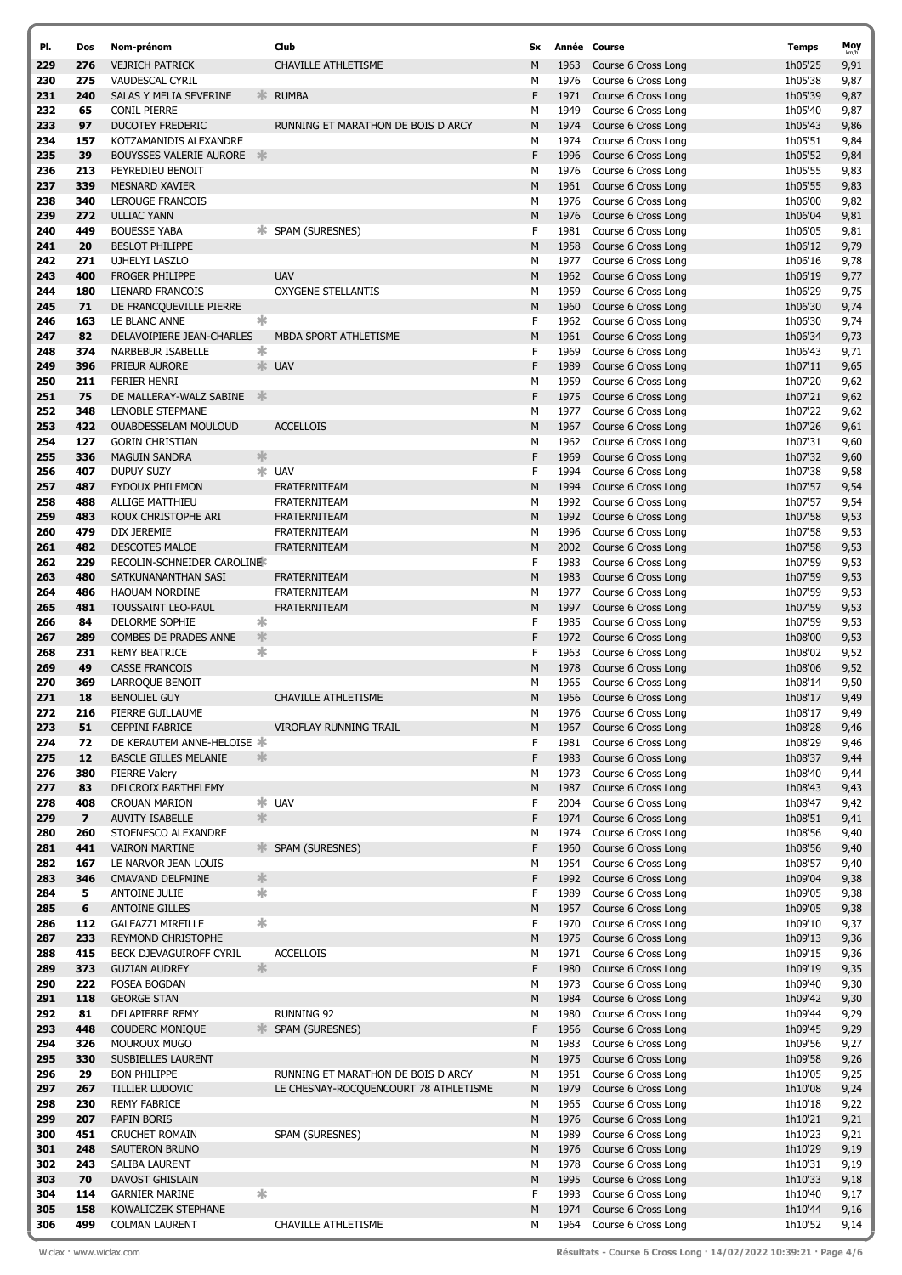| PI.        | Dos                     | Nom-prénom                                               |               | Club                                  | Sx     |              | Année Course                               | <b>Temps</b>       | Moy          |
|------------|-------------------------|----------------------------------------------------------|---------------|---------------------------------------|--------|--------------|--------------------------------------------|--------------------|--------------|
| 229        | 276                     | <b>VEJRICH PATRICK</b>                                   |               | <b>CHAVILLE ATHLETISME</b>            | M      | 1963         | Course 6 Cross Long                        | 1h05'25            | 9,91         |
| 230        | 275                     | <b>VAUDESCAL CYRIL</b>                                   |               |                                       | М      | 1976         | Course 6 Cross Long                        | 1h05'38            | 9,87         |
| 231        | 240                     | SALAS Y MELIA SEVERINE                                   | $\frac{1}{2}$ | <b>RUMBA</b>                          | F      | 1971         | Course 6 Cross Long                        | 1h05'39            | 9,87         |
| 232        | 65                      | <b>CONIL PIERRE</b>                                      |               |                                       | М      | 1949         | Course 6 Cross Long                        | 1h05'40            | 9,87         |
| 233        | 97                      | <b>DUCOTEY FREDERIC</b>                                  |               | RUNNING ET MARATHON DE BOIS D ARCY    | M      | 1974         | Course 6 Cross Long                        | 1h05'43            | 9,86         |
| 234        | 157                     | KOTZAMANIDIS ALEXANDRE                                   |               |                                       | M      | 1974         | Course 6 Cross Long                        | 1h05'51            | 9,84         |
| 235        | 39                      | <b>BOUYSSES VALERIE AURORE</b>                           | -> <          |                                       | F      | 1996         | Course 6 Cross Long                        | 1h05'52            | 9,84         |
| 236        | 213                     | PEYREDIEU BENOIT                                         |               |                                       | М      | 1976         | Course 6 Cross Long                        | 1h05'55            | 9,83         |
| 237<br>238 | 339<br>340              | <b>MESNARD XAVIER</b><br><b>LEROUGE FRANCOIS</b>         |               |                                       | M<br>М | 1961<br>1976 | Course 6 Cross Long<br>Course 6 Cross Long | 1h05'55            | 9,83<br>9,82 |
| 239        | 272                     | <b>ULLIAC YANN</b>                                       |               |                                       | M      | 1976         | Course 6 Cross Long                        | 1h06'00<br>1h06'04 | 9,81         |
| 240        | 449                     | <b>BOUESSE YABA</b>                                      |               | <b>* SPAM (SURESNES)</b>              | F      | 1981         | Course 6 Cross Long                        | 1h06'05            | 9,81         |
| 241        | 20                      | <b>BESLOT PHILIPPE</b>                                   |               |                                       | М      | 1958         | Course 6 Cross Long                        | 1h06'12            | 9,79         |
| 242        | 271                     | <b>UJHELYI LASZLO</b>                                    |               |                                       | M      | 1977         | Course 6 Cross Long                        | 1h06'16            | 9,78         |
| 243        | 400                     | <b>FROGER PHILIPPE</b>                                   |               | <b>UAV</b>                            | M      | 1962         | Course 6 Cross Long                        | 1h06'19            | 9,77         |
| 244        | 180                     | LIENARD FRANCOIS                                         |               | <b>OXYGENE STELLANTIS</b>             | М      | 1959         | Course 6 Cross Long                        | 1h06'29            | 9,75         |
| 245        | 71                      | DE FRANCQUEVILLE PIERRE                                  |               |                                       | M      | 1960         | Course 6 Cross Long                        | 1h06'30            | 9,74         |
| 246        | 163                     | LE BLANC ANNE                                            | 氺             |                                       | F      | 1962         | Course 6 Cross Long                        | 1h06'30            | 9,74         |
| 247        | 82                      | DELAVOIPIERE JEAN-CHARLES                                |               | MBDA SPORT ATHLETISME                 | М      | 1961         | Course 6 Cross Long                        | 1h06'34            | 9,73         |
| 248        | 374                     | NARBEBUR ISABELLE                                        | *             |                                       | F      | 1969         | Course 6 Cross Long                        | 1h06'43            | 9,71         |
| 249        | 396                     | PRIEUR AURORE                                            |               | * UAV                                 | F      | 1989         | Course 6 Cross Long                        | 1h07'11            | 9,65         |
| 250        | 211                     | PERIER HENRI                                             |               |                                       | М      | 1959         | Course 6 Cross Long                        | 1h07'20            | 9,62         |
| 251        | 75                      | DE MALLERAY-WALZ SABINE                                  | 氺             |                                       | F      | 1975         | Course 6 Cross Long                        | 1h07'21            | 9,62         |
| 252        | 348                     | LENOBLE STEPMANE                                         |               |                                       | М      | 1977         | Course 6 Cross Long                        | 1h07'22            | 9,62         |
| 253        | 422                     | OUABDESSELAM MOULOUD                                     |               | <b>ACCELLOIS</b>                      | M      | 1967         | Course 6 Cross Long                        | 1h07'26            | 9,61         |
| 254        | 127                     | <b>GORIN CHRISTIAN</b>                                   |               |                                       | М      | 1962         | Course 6 Cross Long                        | 1h07'31            | 9,60         |
| 255        | 336                     | <b>MAGUIN SANDRA</b>                                     | 氺             |                                       | F<br>F | 1969         | Course 6 Cross Long                        | 1h07'32            | 9,60         |
| 256<br>257 | 407                     | <b>DUPUY SUZY</b>                                        |               | $*$ UAV<br><b>FRATERNITEAM</b>        | M      | 1994<br>1994 | Course 6 Cross Long                        | 1h07'38<br>1h07'57 | 9,58         |
| 258        | 487<br>488              | <b>EYDOUX PHILEMON</b><br><b>ALLIGE MATTHIEU</b>         |               | <b>FRATERNITEAM</b>                   | М      | 1992         | Course 6 Cross Long<br>Course 6 Cross Long | 1h07'57            | 9,54<br>9,54 |
| 259        | 483                     | ROUX CHRISTOPHE ARI                                      |               | <b>FRATERNITEAM</b>                   | М      | 1992         | Course 6 Cross Long                        | 1h07'58            | 9,53         |
| 260        | 479                     | DIX JEREMIE                                              |               | <b>FRATERNITEAM</b>                   | М      | 1996         | Course 6 Cross Long                        | 1h07'58            | 9,53         |
| 261        | 482                     | <b>DESCOTES MALOE</b>                                    |               | <b>FRATERNITEAM</b>                   | M      | 2002         | Course 6 Cross Long                        | 1h07'58            | 9,53         |
| 262        | 229                     | RECOLIN-SCHNEIDER CAROLINE                               |               |                                       | F.     | 1983         | Course 6 Cross Long                        | 1h07'59            | 9,53         |
| 263        | 480                     | SATKUNANANTHAN SASI                                      |               | <b>FRATERNITEAM</b>                   | M      | 1983         | Course 6 Cross Long                        | 1h07'59            | 9,53         |
| 264        | 486                     | <b>HAOUAM NORDINE</b>                                    |               | <b>FRATERNITEAM</b>                   | М      | 1977         | Course 6 Cross Long                        | 1h07'59            | 9,53         |
| 265        | 481                     | <b>TOUSSAINT LEO-PAUL</b>                                |               | FRATERNITEAM                          | М      | 1997         | Course 6 Cross Long                        | 1h07'59            | 9,53         |
| 266        | 84                      | DELORME SOPHIE                                           | 氺             |                                       | F      | 1985         | Course 6 Cross Long                        | 1h07'59            | 9,53         |
| 267        | 289                     | COMBES DE PRADES ANNE                                    | 氺             |                                       | F      | 1972         | Course 6 Cross Long                        | 1h08'00            | 9,53         |
| 268        | 231                     | <b>REMY BEATRICE</b>                                     | $\ast$        |                                       | F      | 1963         | Course 6 Cross Long                        | 1h08'02            | 9,52         |
| 269        | 49                      | <b>CASSE FRANCOIS</b>                                    |               |                                       | M      | 1978         | Course 6 Cross Long                        | 1h08'06            | 9,52         |
| 270        | 369                     | LARROQUE BENOIT                                          |               |                                       | М      | 1965         | Course 6 Cross Long                        | 1h08'14            | 9,50         |
| 271        | 18                      | <b>BENOLIEL GUY</b>                                      |               | CHAVILLE ATHLETISME                   | M      | 1956         | Course 6 Cross Long                        | 1h08'17            | 9,49         |
| 272        | 216                     | PIERRE GUILLAUME                                         |               |                                       | М      |              | 1976 Course 6 Cross Long                   | 1h08'17            | 9,49         |
| 273        | 51                      | CEPPINI FABRICE                                          |               | VIROFLAY RUNNING TRAIL                | м      | 1967         | Course 6 Cross Long                        | 1h08'28            | 9,46         |
| 274<br>275 | 72<br>12                | DE KERAUTEM ANNE-HELOISE<br><b>BASCLE GILLES MELANIE</b> | 氺             |                                       | F<br>F | 1981<br>1983 | Course 6 Cross Long<br>Course 6 Cross Long | 1h08'29<br>1h08'37 | 9,46<br>9,44 |
| 276        | 380                     | PIERRE Valery                                            |               |                                       | М      | 1973         | Course 6 Cross Long                        | 1h08'40            | 9,44         |
| 277        | 83                      | DELCROIX BARTHELEMY                                      |               |                                       | М      | 1987         | Course 6 Cross Long                        | 1h08'43            | 9,43         |
| 278        | 408                     | <b>CROUAN MARION</b>                                     |               | * UAV                                 | F      | 2004         | Course 6 Cross Long                        | 1h08'47            | 9,42         |
| 279        | $\overline{\mathbf{z}}$ | <b>AUVITY ISABELLE</b>                                   | 氺             |                                       | F      | 1974         | Course 6 Cross Long                        | 1h08'51            | 9,41         |
| 280        | 260                     | STOENESCO ALEXANDRE                                      |               |                                       | М      | 1974         | Course 6 Cross Long                        | 1h08'56            | 9,40         |
| 281        | 441                     | <b>VAIRON MARTINE</b>                                    |               | <b>☀ SPAM (SURESNES)</b>              | F      | 1960         | Course 6 Cross Long                        | 1h08'56            | 9,40         |
| 282        | 167                     | LE NARVOR JEAN LOUIS                                     |               |                                       | М      | 1954         | Course 6 Cross Long                        | 1h08'57            | 9,40         |
| 283        | 346                     | CMAVAND DELPMINE                                         | 氺             |                                       | F      | 1992         | Course 6 Cross Long                        | 1h09'04            | 9,38         |
| 284        | 5                       | ANTOINE JULIE                                            | $\ast$        |                                       | F      | 1989         | Course 6 Cross Long                        | 1h09'05            | 9,38         |
| 285        | 6                       | <b>ANTOINE GILLES</b>                                    |               |                                       | М      | 1957         | Course 6 Cross Long                        | 1h09'05            | 9,38         |
| 286        | 112                     | <b>GALEAZZI MIREILLE</b>                                 | ∗             |                                       | F      | 1970         | Course 6 Cross Long                        | 1h09'10            | 9,37         |
| 287<br>288 | 233<br>415              | <b>REYMOND CHRISTOPHE</b>                                |               | <b>ACCELLOIS</b>                      | М      | 1975<br>1971 | Course 6 Cross Long<br>Course 6 Cross Long | 1h09'13            | 9,36         |
| 289        | 373                     | BECK DJEVAGUIROFF CYRIL<br><b>GUZIAN AUDREY</b>          | $\frac{1}{2}$ |                                       | М<br>F | 1980         | Course 6 Cross Long                        | 1h09'15<br>1h09'19 | 9,36<br>9,35 |
| 290        | 222                     | POSEA BOGDAN                                             |               |                                       | м      | 1973         | Course 6 Cross Long                        | 1h09'40            | 9,30         |
| 291        | 118                     | <b>GEORGE STAN</b>                                       |               |                                       | М      | 1984         | Course 6 Cross Long                        | 1h09'42            | 9,30         |
| 292        | 81                      | DELAPIERRE REMY                                          |               | RUNNING 92                            | м      | 1980         | Course 6 Cross Long                        | 1h09'44            | 9,29         |
| 293        | 448                     | <b>COUDERC MONIQUE</b>                                   |               | <b>☀ SPAM (SURESNES)</b>              | F      | 1956         | Course 6 Cross Long                        | 1h09'45            | 9,29         |
| 294        | 326                     | MOUROUX MUGO                                             |               |                                       | М      | 1983         | Course 6 Cross Long                        | 1h09'56            | 9,27         |
| 295        | 330                     | SUSBIELLES LAURENT                                       |               |                                       | M      | 1975         | Course 6 Cross Long                        | 1h09'58            | 9,26         |
| 296        | 29                      | <b>BON PHILIPPE</b>                                      |               | RUNNING ET MARATHON DE BOIS D ARCY    | м      | 1951         | Course 6 Cross Long                        | 1h10'05            | 9,25         |
| 297        | 267                     | TILLIER LUDOVIC                                          |               | LE CHESNAY-ROCQUENCOURT 78 ATHLETISME | М      | 1979         | Course 6 Cross Long                        | 1h10'08            | 9,24         |
| 298        | 230                     | <b>REMY FABRICE</b>                                      |               |                                       | М      | 1965         | Course 6 Cross Long                        | 1h10'18            | 9,22         |
| 299        | 207                     | PAPIN BORIS                                              |               |                                       | М      | 1976         | Course 6 Cross Long                        | 1h10'21            | 9,21         |
| 300        | 451                     | <b>CRUCHET ROMAIN</b>                                    |               | SPAM (SURESNES)                       | М      | 1989         | Course 6 Cross Long                        | 1h10'23            | 9,21         |
| 301        | 248                     | SAUTERON BRUNO                                           |               |                                       | M      | 1976         | Course 6 Cross Long                        | 1h10'29            | 9,19         |
| 302<br>303 | 243<br>70               | SALIBA LAURENT<br>DAVOST GHISLAIN                        |               |                                       | М<br>М | 1978<br>1995 | Course 6 Cross Long<br>Course 6 Cross Long | 1h10'31<br>1h10'33 | 9,19         |
| 304        | 114                     | <b>GARNIER MARINE</b>                                    | ∗             |                                       | F      | 1993         | Course 6 Cross Long                        | 1h10'40            | 9,18<br>9,17 |
| 305        | 158                     | KOWALICZEK STEPHANE                                      |               |                                       | М      | 1974         | Course 6 Cross Long                        | 1h10'44            | 9,16         |
| 306        | 499                     | <b>COLMAN LAURENT</b>                                    |               | CHAVILLE ATHLETISME                   | М      | 1964         | Course 6 Cross Long                        | 1h10'52            | 9,14         |

Wiclax · www.wiclax.com **Cause 2018 Résultats - Course 6 Cross Long · 14/02/2022 10:39:21 · Page 4/6**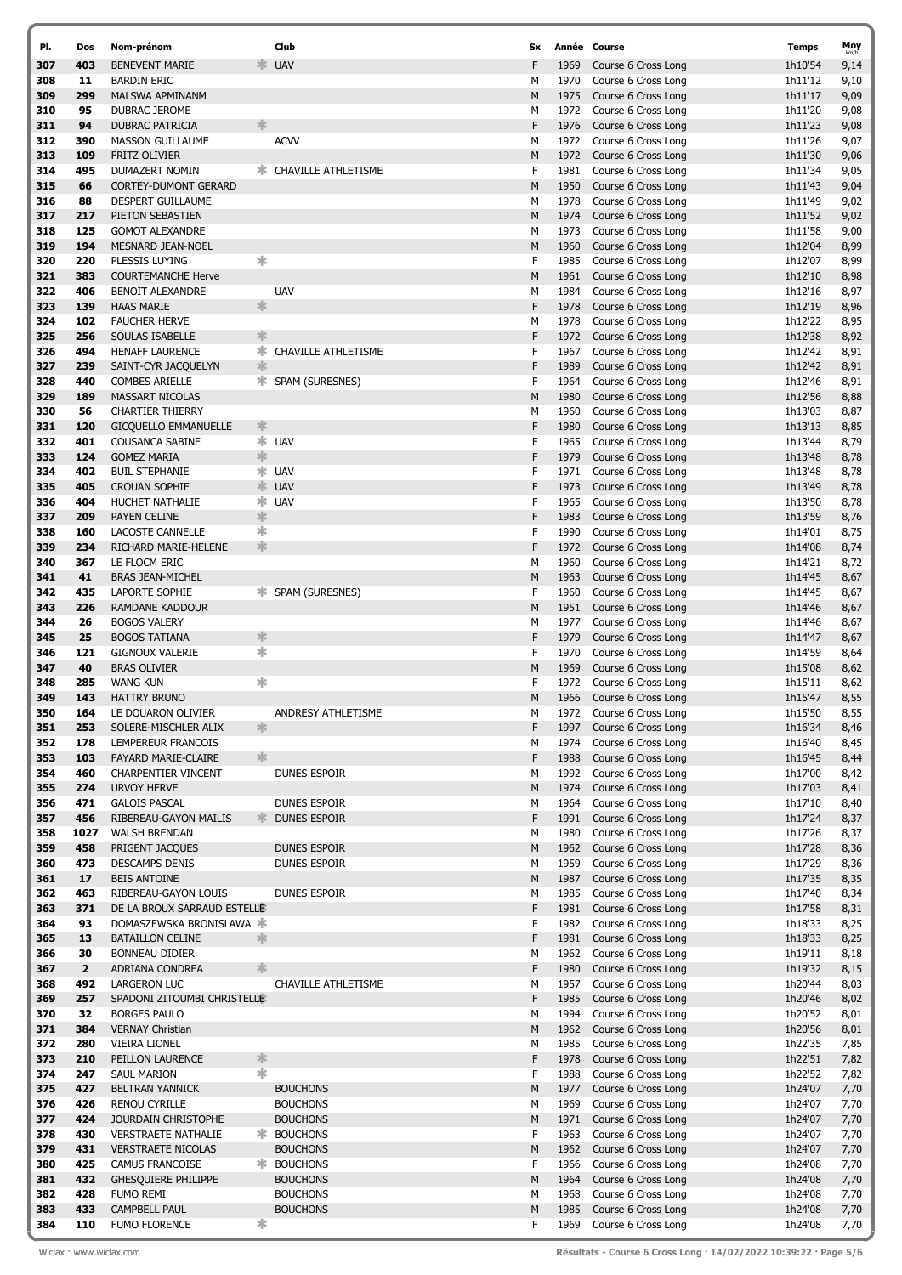| PI.        | Dos          | Nom-prénom                                  |               | Club                         | Sx     |              | Année Course                               | <b>Temps</b>       | Moy          |
|------------|--------------|---------------------------------------------|---------------|------------------------------|--------|--------------|--------------------------------------------|--------------------|--------------|
| 307        | 403          | <b>BENEVENT MARIE</b>                       |               | * UAV                        | F      | 1969         | Course 6 Cross Long                        | 1h10'54            | 9,14         |
| 308        | 11           | <b>BARDIN ERIC</b>                          |               |                              | М      | 1970         | Course 6 Cross Long                        | 1h11'12            | 9,10         |
| 309        | 299          | MALSWA APMINANM                             |               |                              | M      | 1975         | Course 6 Cross Long                        | 1h11'17            | 9,09         |
| 310        | 95           | DUBRAC JEROME                               |               |                              | М      | 1972         | Course 6 Cross Long                        | 1h11'20            | 9,08         |
| 311        | 94           | <b>DUBRAC PATRICIA</b>                      | 氺             |                              | F      | 1976         | Course 6 Cross Long                        | 1h11'23            | 9,08         |
| 312        | 390          | <b>MASSON GUILLAUME</b>                     |               | <b>ACVV</b>                  | М      | 1972         | Course 6 Cross Long                        | 1h11'26            | 9,07         |
| 313        | 109          | <b>FRITZ OLIVIER</b>                        |               |                              | M      | 1972         | Course 6 Cross Long                        | 1h11'30            | 9,06         |
| 314        | 495          | DUMAZERT NOMIN                              |               | <b>* CHAVILLE ATHLETISME</b> | F      | 1981         | Course 6 Cross Long                        | 1h11'34            | 9,05         |
| 315        | 66           | <b>CORTEY-DUMONT GERARD</b>                 |               |                              | M      | 1950         | Course 6 Cross Long                        |                    | 9,04         |
| 316        |              | <b>DESPERT GUILLAUME</b>                    |               |                              |        | 1978         | Course 6 Cross Long                        | 1h11'43            |              |
|            | 88           |                                             |               |                              | М      |              |                                            | 1h11'49            | 9,02         |
| 317        | 217          | PIETON SEBASTIEN                            |               |                              | M      | 1974         | Course 6 Cross Long                        | 1h11'52            | 9,02         |
| 318        | 125          | <b>GOMOT ALEXANDRE</b>                      |               |                              | М      | 1973         | Course 6 Cross Long                        | 1h11'58            | 9,00         |
| 319        | 194          | MESNARD JEAN-NOEL                           |               |                              | M      | 1960         | Course 6 Cross Long                        | 1h12'04            | 8,99         |
| 320        | 220          | PLESSIS LUYING                              | 氺             |                              | F      | 1985         | Course 6 Cross Long                        | 1h12'07            | 8,99         |
| 321        | 383          | <b>COURTEMANCHE Herve</b>                   |               |                              | M      | 1961         | Course 6 Cross Long                        | 1h12'10            | 8,98         |
| 322        | 406          | <b>BENOIT ALEXANDRE</b>                     |               | <b>UAV</b>                   | М      | 1984         | Course 6 Cross Long                        | 1h12'16            | 8,97         |
| 323        | 139          | <b>HAAS MARIE</b>                           | 氺             |                              | F      | 1978         | Course 6 Cross Long                        | 1h12'19            | 8,96         |
| 324        | 102          | <b>FAUCHER HERVE</b>                        |               |                              | М      | 1978         | Course 6 Cross Long                        | 1h12'22            | 8,95         |
| 325        | 256          | SOULAS ISABELLE                             | 氺             |                              | F      | 1972         | Course 6 Cross Long                        | 1h12'38            | 8,92         |
| 326        | 494          | <b>HENAFF LAURENCE</b>                      |               | <b>* CHAVILLE ATHLETISME</b> | F      | 1967         | Course 6 Cross Long                        | 1h12'42            | 8,91         |
| 327        | 239          | SAINT-CYR JACQUELYN                         | 氺             |                              | F      | 1989         | Course 6 Cross Long                        | 1h12'42            | 8,91         |
| 328        | 440          | <b>COMBES ARIELLE</b>                       |               | * SPAM (SURESNES)            | F      | 1964         | Course 6 Cross Long                        | 1h12'46            | 8,91         |
| 329        | 189          | <b>MASSART NICOLAS</b>                      |               |                              | M      | 1980         | Course 6 Cross Long                        | 1h12'56            | 8,88         |
| 330        | 56           | <b>CHARTIER THIERRY</b>                     |               |                              | М      | 1960         | Course 6 Cross Long                        | 1h13'03            | 8,87         |
| 331        | 120          | <b>GICQUELLO EMMANUELLE</b>                 | 氺             |                              | F      | 1980         | Course 6 Cross Long                        | 1h13'13            | 8,85         |
| 332        | 401          | <b>COUSANCA SABINE</b>                      |               | * UAV                        | F      | 1965         | Course 6 Cross Long                        | 1h13'44            | 8,79         |
| 333        | 124          | <b>GOMEZ MARIA</b>                          | $\frac{1}{2}$ |                              | F      | 1979         | Course 6 Cross Long                        | 1h13'48            | 8,78         |
| 334        | 402          | <b>BUIL STEPHANIE</b>                       |               | * UAV                        | F      | 1971         | Course 6 Cross Long                        | 1h13'48            | 8,78         |
| 335        | 405          | <b>CROUAN SOPHIE</b>                        |               | <b>EXAMPLE</b>               | F      | 1973         | Course 6 Cross Long                        | 1h13'49            | 8,78         |
| 336        | 404          | HUCHET NATHALIE                             |               | $*$ UAV                      | F      | 1965         | Course 6 Cross Long                        | 1h13'50            | 8,78         |
| 337        | 209          | PAYEN CELINE                                | 氺             |                              | F      | 1983         | Course 6 Cross Long                        | 1h13'59            | 8,76         |
| 338        | 160          | LACOSTE CANNELLE                            | ∗             |                              | F      | 1990         | Course 6 Cross Long                        | 1h14'01            | 8,75         |
| 339        | 234          | RICHARD MARIE-HELENE                        | $\frac{1}{2}$ |                              | F      | 1972         | Course 6 Cross Long                        | 1h14'08            | 8,74         |
| 340        | 367          | LE FLOCM ERIC                               |               |                              | М      | 1960         | Course 6 Cross Long                        | 1h14'21            | 8,72         |
| 341        | 41           | <b>BRAS JEAN-MICHEL</b>                     |               |                              | M      | 1963         | Course 6 Cross Long                        | 1h14'45            | 8,67         |
| 342        | 435          | LAPORTE SOPHIE                              |               | <b>☀ SPAM (SURESNES)</b>     | E      | 1960         | Course 6 Cross Long                        | 1h14'45            | 8,67         |
| 343        | 226          | RAMDANE KADDOUR                             |               |                              | M      | 1951         | Course 6 Cross Long                        | 1h14'46            | 8,67         |
| 344        | 26           | <b>BOGOS VALERY</b>                         |               |                              | М      | 1977         | Course 6 Cross Long                        | 1h14'46            | 8,67         |
| 345        | 25           | <b>BOGOS TATIANA</b>                        | $\frac{1}{2}$ |                              | F      | 1979         | Course 6 Cross Long                        | 1h14'47            | 8,67         |
| 346        | 121          | <b>GIGNOUX VALERIE</b>                      | ∗             |                              | F      | 1970         | Course 6 Cross Long                        | 1h14'59            | 8,64         |
| 347        | 40           | <b>BRAS OLIVIER</b>                         |               |                              | M      | 1969         | Course 6 Cross Long                        | 1h15'08            | 8,62         |
| 348        | 285          | <b>WANG KUN</b>                             | ∗             |                              | F      | 1972         | Course 6 Cross Long                        | 1h15'11            | 8,62         |
| 349        | 143          | <b>HATTRY BRUNO</b>                         |               |                              | M      | 1966         | Course 6 Cross Long                        | 1h15'47            | 8,55         |
| 350        | 164          | LE DOUARON OLIVIER                          |               | ANDRESY ATHLETISME           | M      | 1972         | Course 6 Cross Long                        | 1h15'50            | 8,55         |
| 351        | 253          | SOLERE-MISCHLER ALIX                        | 氺             |                              | F      | 1997         | Course 6 Cross Long                        | 1h16'34            | 8,46         |
| 352        | 178          |                                             |               |                              | М      |              | Course 6 Cross Long                        |                    |              |
| 353        | 103          | LEMPEREUR FRANCOIS<br>FAYARD MARIE-CLAIRE   | $\frac{1}{2}$ |                              | F      | 1974<br>1988 | Course 6 Cross Long                        | 1h16'40<br>1h16'45 | 8,45<br>8,44 |
| 354        | 460          | <b>CHARPENTIER VINCENT</b>                  |               | DUNES ESPOIR                 | М      | 1992         | Course 6 Cross Long                        | 1h17'00            |              |
| 355        | 274          | <b>URVOY HERVE</b>                          |               |                              | M      | 1974         | Course 6 Cross Long                        |                    | 8,42         |
|            |              |                                             |               |                              |        | 1964         |                                            | 1h17'03            | 8,41         |
| 356<br>357 | 471<br>456   | <b>GALOIS PASCAL</b>                        | $\frac{1}{2}$ | DUNES ESPOIR                 | М<br>F | 1991         | Course 6 Cross Long<br>Course 6 Cross Long | 1h17'10            | 8,40         |
|            |              | RIBEREAU-GAYON MAILIS                       |               | DUNES ESPOIR                 |        |              |                                            | 1h17'24            | 8,37         |
| 358        | 1027         | WALSH BRENDAN                               |               |                              | М<br>M | 1980         | Course 6 Cross Long<br>Course 6 Cross Long | 1h17'26            | 8,37         |
| 359        | 458          | PRIGENT JACQUES                             |               | DUNES ESPOIR                 |        | 1962         |                                            | 1h17'28            | 8,36         |
| 360        | 473          | <b>DESCAMPS DENIS</b>                       |               | DUNES ESPOIR                 | М      | 1959         | Course 6 Cross Long                        | 1h17'29            | 8,36         |
| 361        | 17           | <b>BEIS ANTOINE</b><br>RIBEREAU-GAYON LOUIS |               |                              | M      | 1987         | Course 6 Cross Long                        | 1h17'35            | 8,35         |
| 362        | 463          |                                             |               | DUNES ESPOIR                 | М      | 1985         | Course 6 Cross Long                        | 1h17'40            | 8,34         |
| 363        | 371          | DE LA BROUX SARRAUD ESTELLE                 |               |                              | F      | 1981         | Course 6 Cross Long                        | 1h17'58            | 8,31         |
| 364        | 93           | DOMASZEWSKA BRONISLAWA *                    |               |                              | F      | 1982         | Course 6 Cross Long                        | 1h18'33            | 8,25         |
| 365        | 13           | <b>BATAILLON CELINE</b>                     | 氺             |                              | F      | 1981         | Course 6 Cross Long                        | 1h18'33            | 8,25         |
| 366        | 30           | <b>BONNEAU DIDIER</b>                       |               |                              | М      | 1962         | Course 6 Cross Long                        | 1h19'11            | 8,18         |
| 367        | $\mathbf{2}$ | ADRIANA CONDREA                             | 氺             |                              | F      | 1980         | Course 6 Cross Long                        | 1h19'32            | 8,15         |
| 368        | 492          | LARGERON LUC                                |               | CHAVILLE ATHLETISME          | М      | 1957         | Course 6 Cross Long                        | 1h20'44            | 8,03         |
| 369        | 257          | SPADONI ZITOUMBI CHRISTELLE                 |               |                              | F      | 1985         | Course 6 Cross Long                        | 1h20'46            | 8,02         |
| 370        | 32           | <b>BORGES PAULO</b>                         |               |                              | м      | 1994         | Course 6 Cross Long                        | 1h20'52            | 8,01         |
| 371        | 384          | <b>VERNAY Christian</b>                     |               |                              | M      | 1962         | Course 6 Cross Long                        | 1h20'56            | 8,01         |
| 372        | 280          | VIEIRA LIONEL                               |               |                              | М      | 1985         | Course 6 Cross Long                        | 1h22'35            | 7,85         |
| 373        | 210          | PEILLON LAURENCE                            | $\ast$        |                              | F      | 1978         | Course 6 Cross Long                        | 1h22'51            | 7,82         |
| 374        | 247          | SAUL MARION                                 | ∗             |                              | F      | 1988         | Course 6 Cross Long                        | 1h22'52            | 7,82         |
| 375        | 427          | <b>BELTRAN YANNICK</b>                      |               | <b>BOUCHONS</b>              | М      | 1977         | Course 6 Cross Long                        | 1h24'07            | 7,70         |
| 376        | 426          | <b>RENOU CYRILLE</b>                        |               | <b>BOUCHONS</b>              | м      | 1969         | Course 6 Cross Long                        | 1h24'07            | 7,70         |
| 377        | 424          | JOURDAIN CHRISTOPHE                         |               | <b>BOUCHONS</b>              | M      | 1971         | Course 6 Cross Long                        | 1h24'07            | 7,70         |
| 378        | 430          | <b>VERSTRAETE NATHALIE</b>                  |               | * BOUCHONS                   | F      | 1963         | Course 6 Cross Long                        | 1h24'07            | 7,70         |
| 379        | 431          | <b>VERSTRAETE NICOLAS</b>                   |               | <b>BOUCHONS</b>              | М      | 1962         | Course 6 Cross Long                        | 1h24'07            | 7,70         |
| 380        | 425          | CAMUS FRANCOISE                             |               | <b>*</b> BOUCHONS            | F      | 1966         | Course 6 Cross Long                        | 1h24'08            | 7,70         |
| 381        | 432          | <b>GHESQUIERE PHILIPPE</b>                  |               | <b>BOUCHONS</b>              | M      | 1964         | Course 6 Cross Long                        | 1h24'08            | 7,70         |
| 382        | 428          | <b>FUMO REMI</b>                            |               | <b>BOUCHONS</b>              | М      | 1968         | Course 6 Cross Long                        | 1h24'08            | 7,70         |
| 383        | 433          | <b>CAMPBELL PAUL</b>                        |               | <b>BOUCHONS</b>              | M      | 1985         | Course 6 Cross Long                        | 1h24'08            | 7,70         |
| 384        | 110          | <b>FUMO FLORENCE</b>                        | ∗             |                              | F      | 1969         | Course 6 Cross Long                        | 1h24'08            | 7,70         |